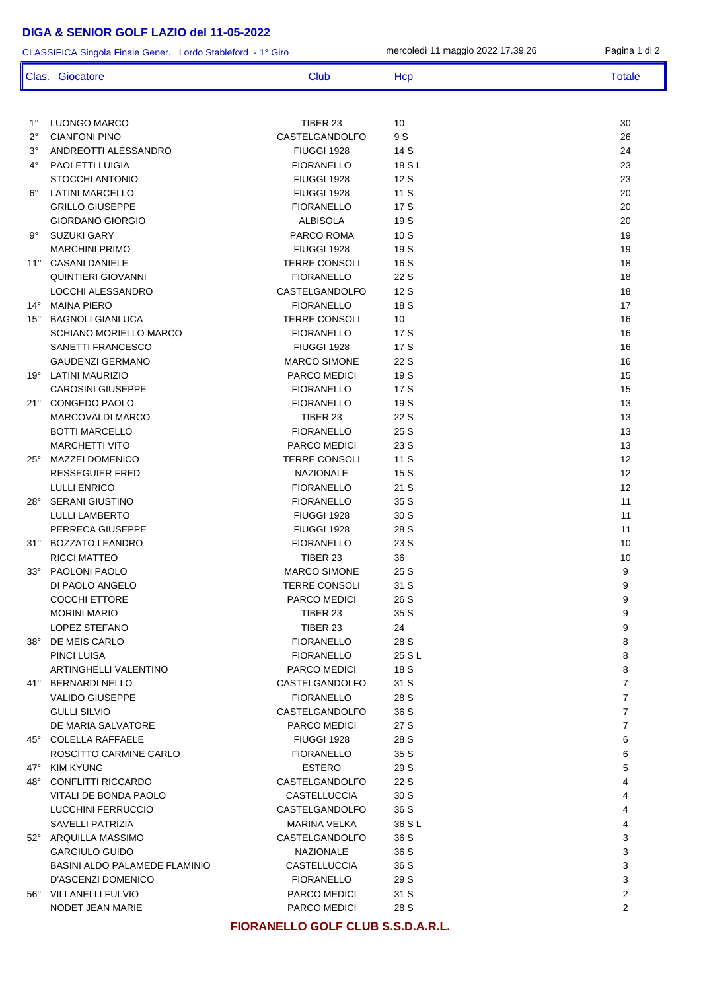## **DIGA & SENIOR GOLF LAZIO del 11-05-2022**

1° LUONGO MARCO TIBER 23 10 30 2° CIANFONI PINO CASTELGANDOLFO 9 S 26 3° ANDREOTTI ALESSANDRO FIUGGI 1928 14 S 24 4° PAOLETTI LUIGIA FIORANELLO 18 S L 23 STOCCHI ANTONIO FIUGGI 1928 12 S 23 6° LATINI MARCELLO FIUGGI 1928 11 S 20 GRILLO GIUSEPPE FIORANELLO 17 S 20 GIORDANO GIORGIO ALBISOLA ALBISOLA 19 S 9° SUZUKI GARY PARCO ROMA 10 S 19 MARCHINI PRIMO FIUGGI 1928 19 S 19 11° CASANI DANIELE 18 TERRE CONSOLI 16 S QUINTIERI GIOVANNI FIORANELLO 22 S 18 LOCCHI ALESSANDRO CASTELGANDOLFO 12 S 18 14° MAINA PIERO FIORANELLO 18 S 17 15° BAGNOLI GIANLUCA TERRE CONSOLI 10 16 SCHIANO MORIELLO MARCO **FIORANELLO** 17 S 16 SANETTI FRANCESCO **FIUGGI 1928** 17 S 16 GAUDENZI GERMANO MARCO SIMONE 22 S 16 19º LATINI MAURIZIO 15 15 PARCO MEDICI 19 S CAROSINI GIUSEPPE FIORANELLO 17 S 15 21° CONGEDO PAOLO FIORANELLO 19 S 13 MARCOVALDI MARCO TIBER 23 22 S 13 BOTTI MARCELLO 13 MARCHETTI VITO PARCO MEDICI 23 S 13 25° MAZZEI DOMENICO TERRE CONSOLI 11 S 12 RESSEGUIER FRED **NAZIONALE** 15 S 12 LULLI ENRICO FIORANELLO 21 S 12 28° SERANI GIUSTINO FIORANELLO 35 S 11 LULLI LAMBERTO FIUGGI 1928 30 S 11 PERRECA GIUSEPPE FIUGGI 1928 28 S 28 S 11 31° BOZZATO LEANDRO FIORANELLO 23 S 10 RICCI MATTEO TIBER 23 36 10 33° PAOLONI PAOLO MARCO SIMONE 25 S 9 DI PAOLO ANGELO TERRE CONSOLI 31 S 9 COCCHI ETTORE PARCO MEDICI 26 S 9 MORINI MARIO 35 S 9 LOPEZ STEFANO 3<br>
TIBER 23 24 24 9 38° DE MEIS CARLO FIORANELLO 28 S 8 PINCI LUISA FIORANELLO 25 S L 8 ARTINGHELLI VALENTINO PARCO MEDICI 18 S 8 41° BERNARDI NELLO CASTELGANDOLFO 31 S 7 VALIDO GIUSEPPE TRANSPORTI E TRANSPORTI E FIORANELLO 28 S 7 ANNO 1999 E 7 ANN 2007 GULLI SILVIO CASTELGANDOLFO 36 S 7 DE MARIA SALVATORE **A PARCO MEDICITY ASSESSED ASSESSED ASSESSED A** 7 45° COLELLA RAFFAELE FIUGGI 1928 28 S 6 ROSCITTO CARMINE CARLO FIORANELLO 35 S 6 47° KIM KYUNG ESTERO 29 S 5 48° CONFLITTI RICCARDO CASTELGANDOLFO 22 S 4 VITALI DE BONDA PAOLO CASTELLUCCIA 30 S 4 LUCCHINI FERRUCCIO CASTELGANDOLFO 36 S 4 CLASSIFICA Singola Finale Gener. Lordo Stableford - 1° Giro mercoledì 11 maggio 2022 17.39.26 Pagina 1 di 2 Clas. Giocatore Club Club Hcp Totale

NODET JEAN MARIE 28 S 2 **FIORANELLO GOLF CLUB S.S.D.A.R.L.**

SAVELLI PATRIZIA MARINA VELKA 36 S L 4 52° ARQUILLA MASSIMO CASTELGANDOLFO 36 S 3 GARGIULO GUIDO NAZIONALE 36 S 3 BASINI ALDO PALAMEDE FLAMINIO CASTELLUCCIA 36 S 3 D'ASCENZI DOMENICO FIORANELLO 29 S 3 56° VILLANELLI FULVIO PARCO MEDICI 31 S 2